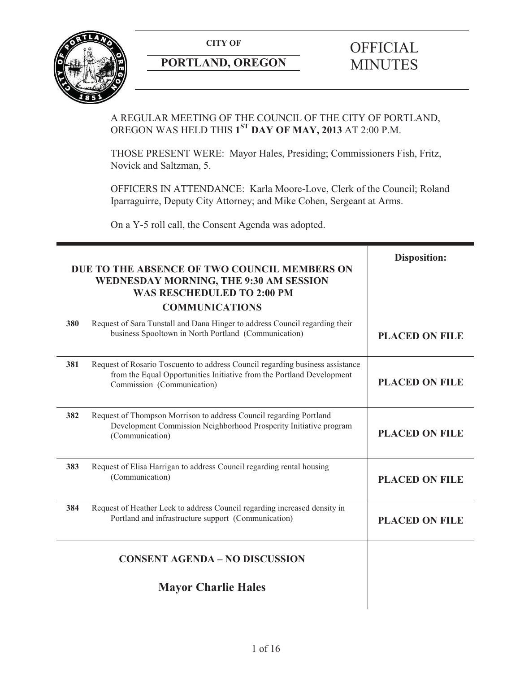

# **PORTLAND, OREGON MINUTES**

# **CITY OF** OFFICIAL

### A REGULAR MEETING OF THE COUNCIL OF THE CITY OF PORTLAND, OREGON WAS HELD THIS **1ST DAY OF MAY, 2013** AT 2:00 P.M.

THOSE PRESENT WERE: Mayor Hales, Presiding; Commissioners Fish, Fritz, Novick and Saltzman, 5.

OFFICERS IN ATTENDANCE: Karla Moore-Love, Clerk of the Council; Roland Iparraguirre, Deputy City Attorney; and Mike Cohen, Sergeant at Arms.

On a Y-5 roll call, the Consent Agenda was adopted.

| DUE TO THE ABSENCE OF TWO COUNCIL MEMBERS ON<br><b>WEDNESDAY MORNING, THE 9:30 AM SESSION</b><br><b>WAS RESCHEDULED TO 2:00 PM</b><br><b>COMMUNICATIONS</b> |                                                                                                                                                                                      | <b>Disposition:</b>   |
|-------------------------------------------------------------------------------------------------------------------------------------------------------------|--------------------------------------------------------------------------------------------------------------------------------------------------------------------------------------|-----------------------|
| 380                                                                                                                                                         | Request of Sara Tunstall and Dana Hinger to address Council regarding their<br>business Spooltown in North Portland (Communication)                                                  | <b>PLACED ON FILE</b> |
| 381                                                                                                                                                         | Request of Rosario Toscuento to address Council regarding business assistance<br>from the Equal Opportunities Initiative from the Portland Development<br>Commission (Communication) | <b>PLACED ON FILE</b> |
| 382                                                                                                                                                         | Request of Thompson Morrison to address Council regarding Portland<br>Development Commission Neighborhood Prosperity Initiative program<br>(Communication)                           | <b>PLACED ON FILE</b> |
| 383                                                                                                                                                         | Request of Elisa Harrigan to address Council regarding rental housing<br>(Communication)                                                                                             | <b>PLACED ON FILE</b> |
| 384                                                                                                                                                         | Request of Heather Leek to address Council regarding increased density in<br>Portland and infrastructure support (Communication)                                                     | <b>PLACED ON FILE</b> |
|                                                                                                                                                             | <b>CONSENT AGENDA - NO DISCUSSION</b>                                                                                                                                                |                       |
|                                                                                                                                                             | <b>Mayor Charlie Hales</b>                                                                                                                                                           |                       |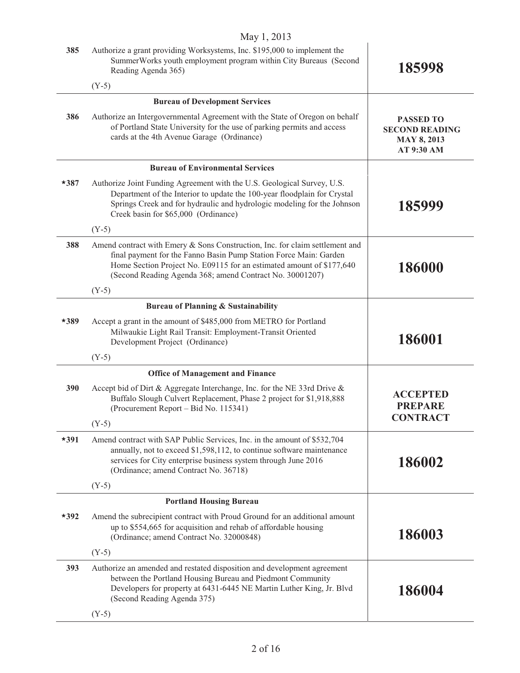|        | May 1, 2013                                                                                                                                                                                                                                                                           |                                                                               |
|--------|---------------------------------------------------------------------------------------------------------------------------------------------------------------------------------------------------------------------------------------------------------------------------------------|-------------------------------------------------------------------------------|
| 385    | Authorize a grant providing Worksystems, Inc. \$195,000 to implement the<br>SummerWorks youth employment program within City Bureaus (Second<br>Reading Agenda 365)                                                                                                                   | 185998                                                                        |
|        | $(Y-5)$                                                                                                                                                                                                                                                                               |                                                                               |
|        | <b>Bureau of Development Services</b>                                                                                                                                                                                                                                                 |                                                                               |
| 386    | Authorize an Intergovernmental Agreement with the State of Oregon on behalf<br>of Portland State University for the use of parking permits and access<br>cards at the 4th Avenue Garage (Ordinance)                                                                                   | <b>PASSED TO</b><br><b>SECOND READING</b><br><b>MAY 8, 2013</b><br>AT 9:30 AM |
|        | <b>Bureau of Environmental Services</b>                                                                                                                                                                                                                                               |                                                                               |
| $*387$ | Authorize Joint Funding Agreement with the U.S. Geological Survey, U.S.<br>Department of the Interior to update the 100-year floodplain for Crystal<br>Springs Creek and for hydraulic and hydrologic modeling for the Johnson<br>Creek basin for \$65,000 (Ordinance)                | 185999                                                                        |
|        | $(Y-5)$                                                                                                                                                                                                                                                                               |                                                                               |
| 388    | Amend contract with Emery & Sons Construction, Inc. for claim settlement and<br>final payment for the Fanno Basin Pump Station Force Main: Garden<br>Home Section Project No. E09115 for an estimated amount of \$177,640<br>(Second Reading Agenda 368; amend Contract No. 30001207) | 186000                                                                        |
|        | $(Y-5)$                                                                                                                                                                                                                                                                               |                                                                               |
|        | <b>Bureau of Planning &amp; Sustainability</b>                                                                                                                                                                                                                                        |                                                                               |
| *389   | Accept a grant in the amount of \$485,000 from METRO for Portland<br>Milwaukie Light Rail Transit: Employment-Transit Oriented<br>Development Project (Ordinance)                                                                                                                     | 186001                                                                        |
|        | $(Y-5)$                                                                                                                                                                                                                                                                               |                                                                               |
|        | <b>Office of Management and Finance</b>                                                                                                                                                                                                                                               |                                                                               |
| 390    | Accept bid of Dirt & Aggregate Interchange, Inc. for the NE 33rd Drive &<br>Buffalo Slough Culvert Replacement, Phase 2 project for \$1,918,888<br>(Procurement Report – Bid No. 115341)                                                                                              | <b>ACCEPTED</b><br><b>PREPARE</b><br><b>CONTRACT</b>                          |
|        | $(Y-5)$                                                                                                                                                                                                                                                                               |                                                                               |
| $*391$ | Amend contract with SAP Public Services, Inc. in the amount of \$532,704<br>annually, not to exceed \$1,598,112, to continue software maintenance<br>services for City enterprise business system through June 2016<br>(Ordinance; amend Contract No. 36718)                          | 186002                                                                        |
|        | $(Y-5)$                                                                                                                                                                                                                                                                               |                                                                               |
|        | <b>Portland Housing Bureau</b>                                                                                                                                                                                                                                                        |                                                                               |
| $*392$ | Amend the subrecipient contract with Proud Ground for an additional amount<br>up to \$554,665 for acquisition and rehab of affordable housing<br>(Ordinance; amend Contract No. 32000848)                                                                                             | 186003                                                                        |
|        | $(Y-5)$                                                                                                                                                                                                                                                                               |                                                                               |
| 393    | Authorize an amended and restated disposition and development agreement<br>between the Portland Housing Bureau and Piedmont Community<br>Developers for property at 6431-6445 NE Martin Luther King, Jr. Blvd<br>(Second Reading Agenda 375)                                          | 186004                                                                        |
|        | $(Y-5)$                                                                                                                                                                                                                                                                               |                                                                               |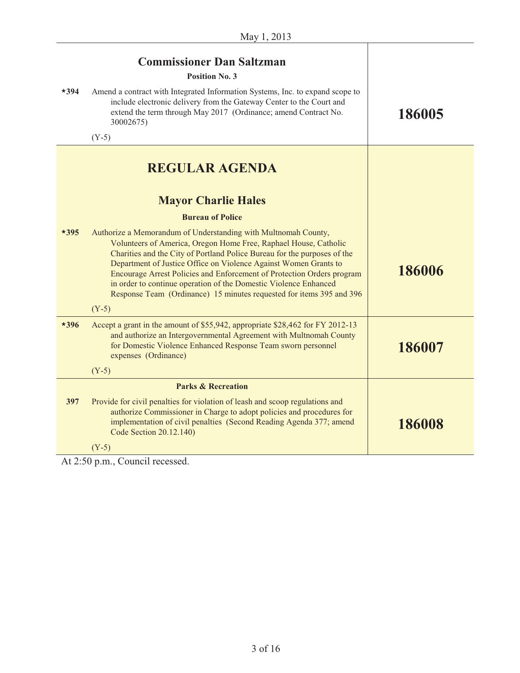| $*394$ | <b>Commissioner Dan Saltzman</b><br><b>Position No. 3</b><br>Amend a contract with Integrated Information Systems, Inc. to expand scope to<br>include electronic delivery from the Gateway Center to the Court and<br>extend the term through May 2017 (Ordinance; amend Contract No.<br>30002675)<br>$(Y-5)$                                                                                                                                                                                                                                                                                         | 186005 |
|--------|-------------------------------------------------------------------------------------------------------------------------------------------------------------------------------------------------------------------------------------------------------------------------------------------------------------------------------------------------------------------------------------------------------------------------------------------------------------------------------------------------------------------------------------------------------------------------------------------------------|--------|
| $*395$ | <b>REGULAR AGENDA</b><br><b>Mayor Charlie Hales</b><br><b>Bureau of Police</b><br>Authorize a Memorandum of Understanding with Multnomah County,<br>Volunteers of America, Oregon Home Free, Raphael House, Catholic<br>Charities and the City of Portland Police Bureau for the purposes of the<br>Department of Justice Office on Violence Against Women Grants to<br>Encourage Arrest Policies and Enforcement of Protection Orders program<br>in order to continue operation of the Domestic Violence Enhanced<br>Response Team (Ordinance) 15 minutes requested for items 395 and 396<br>$(Y-5)$ | 186006 |
| $*396$ | Accept a grant in the amount of \$55,942, appropriate \$28,462 for FY 2012-13<br>and authorize an Intergovernmental Agreement with Multnomah County<br>for Domestic Violence Enhanced Response Team sworn personnel<br>expenses (Ordinance)<br>$(Y-5)$                                                                                                                                                                                                                                                                                                                                                | 186007 |
|        | <b>Parks &amp; Recreation</b>                                                                                                                                                                                                                                                                                                                                                                                                                                                                                                                                                                         |        |
| 397    | Provide for civil penalties for violation of leash and scoop regulations and<br>authorize Commissioner in Charge to adopt policies and procedures for<br>implementation of civil penalties (Second Reading Agenda 377; amend<br>Code Section 20.12.140)<br>$(Y-5)$                                                                                                                                                                                                                                                                                                                                    | 186008 |
|        |                                                                                                                                                                                                                                                                                                                                                                                                                                                                                                                                                                                                       |        |

At 2:50 p.m., Council recessed.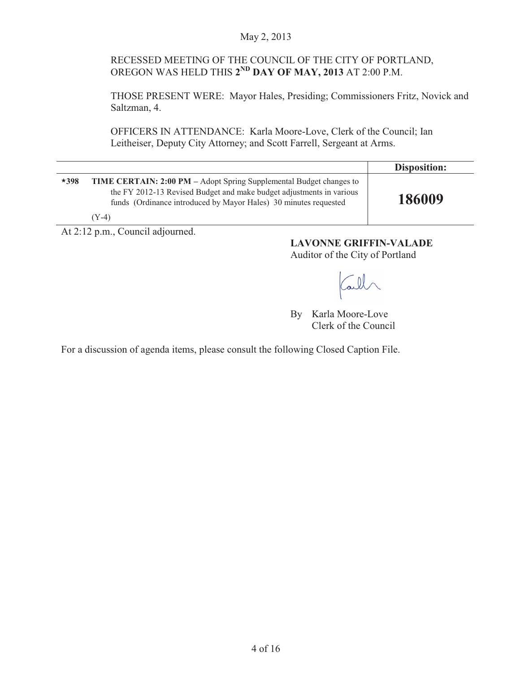#### May 2, 2013

#### RECESSED MEETING OF THE COUNCIL OF THE CITY OF PORTLAND, OREGON WAS HELD THIS **2ND DAY OF MAY, 2013** AT 2:00 P.M.

THOSE PRESENT WERE: Mayor Hales, Presiding; Commissioners Fritz, Novick and Saltzman, 4.

OFFICERS IN ATTENDANCE: Karla Moore-Love, Clerk of the Council; Ian Leitheiser, Deputy City Attorney; and Scott Farrell, Sergeant at Arms.

|        |                                                                                                                                                                                                                          | Disposition: |
|--------|--------------------------------------------------------------------------------------------------------------------------------------------------------------------------------------------------------------------------|--------------|
| $*398$ | TIME CERTAIN: 2:00 PM - Adopt Spring Supplemental Budget changes to<br>the FY 2012-13 Revised Budget and make budget adjustments in various<br>funds (Ordinance introduced by Mayor Hales) 30 minutes requested<br>(Y-4) | 186009       |

At 2:12 p.m., Council adjourned.

**LAVONNE GRIFFIN-VALADE**  Auditor of the City of Portland

Call

By Karla Moore-Love Clerk of the Council

For a discussion of agenda items, please consult the following Closed Caption File.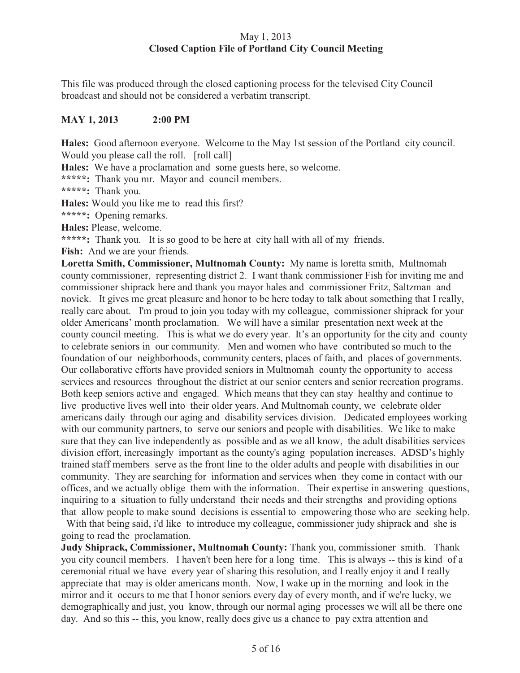#### May 1, 2013 **Closed Caption File of Portland City Council Meeting**

This file was produced through the closed captioning process for the televised City Council broadcast and should not be considered a verbatim transcript.

#### **MAY 1, 2013 2:00 PM**

**Hales:** Good afternoon everyone. Welcome to the May 1st session of the Portland city council. Would you please call the roll. [roll call]

**Hales:** We have a proclamation and some guests here, so welcome.

**\*\*\*\*\*:** Thank you mr. Mayor and council members.

**\*\*\*\*\*:** Thank you.

**Hales:** Would you like me to read this first?

**\*\*\*\*\*:** Opening remarks.

**Hales:** Please, welcome.

**\*\*\*\*\*:** Thank you. It is so good to be here at city hall with all of my friends.

Fish: And we are your friends.

**Loretta Smith, Commissioner, Multnomah County:** My name is loretta smith, Multnomah county commissioner, representing district 2. I want thank commissioner Fish for inviting me and commissioner shiprack here and thank you mayor hales and commissioner Fritz, Saltzman and novick. It gives me great pleasure and honor to be here today to talk about something that I really, really care about. I'm proud to join you today with my colleague, commissioner shiprack for your older Americans' month proclamation. We will have a similar presentation next week at the county council meeting. This is what we do every year. It's an opportunity for the city and county to celebrate seniors in our community. Men and women who have contributed so much to the foundation of our neighborhoods, community centers, places of faith, and places of governments. Our collaborative efforts have provided seniors in Multnomah county the opportunity to access services and resources throughout the district at our senior centers and senior recreation programs. Both keep seniors active and engaged. Which means that they can stay healthy and continue to live productive lives well into their older years. And Multnomah county, we celebrate older americans daily through our aging and disability services division. Dedicated employees working with our community partners, to serve our seniors and people with disabilities. We like to make sure that they can live independently as possible and as we all know, the adult disabilities services division effort, increasingly important as the county's aging population increases. ADSD's highly trained staff members serve as the front line to the older adults and people with disabilities in our community. They are searching for information and services when they come in contact with our offices, and we actually oblige them with the information. Their expertise in answering questions, inquiring to a situation to fully understand their needs and their strengths and providing options that allow people to make sound decisions is essential to empowering those who are seeking help.

 With that being said, i'd like to introduce my colleague, commissioner judy shiprack and she is going to read the proclamation.

**Judy Shiprack, Commissioner, Multnomah County:** Thank you, commissioner smith. Thank you city council members. I haven't been here for a long time. This is always -- this is kind of a ceremonial ritual we have every year of sharing this resolution, and I really enjoy it and I really appreciate that may is older americans month. Now, I wake up in the morning and look in the mirror and it occurs to me that I honor seniors every day of every month, and if we're lucky, we demographically and just, you know, through our normal aging processes we will all be there one day. And so this -- this, you know, really does give us a chance to pay extra attention and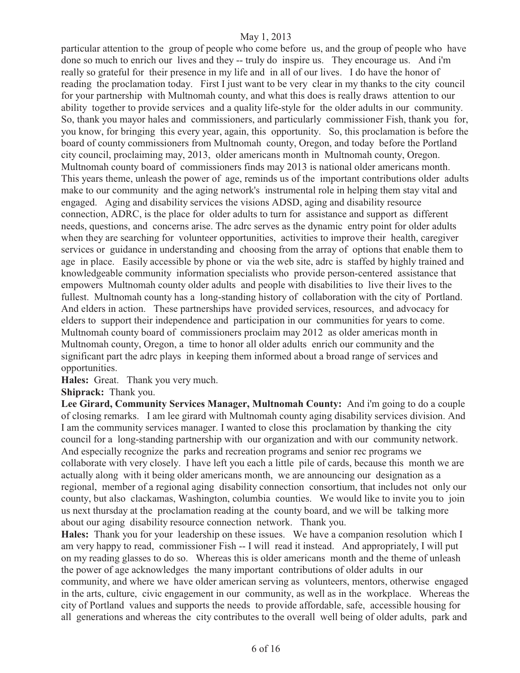particular attention to the group of people who come before us, and the group of people who have done so much to enrich our lives and they -- truly do inspire us. They encourage us. And i'm really so grateful for their presence in my life and in all of our lives. I do have the honor of reading the proclamation today. First I just want to be very clear in my thanks to the city council for your partnership with Multnomah county, and what this does is really draws attention to our ability together to provide services and a quality life-style for the older adults in our community. So, thank you mayor hales and commissioners, and particularly commissioner Fish, thank you for, you know, for bringing this every year, again, this opportunity. So, this proclamation is before the board of county commissioners from Multnomah county, Oregon, and today before the Portland city council, proclaiming may, 2013, older americans month in Multnomah county, Oregon. Multnomah county board of commissioners finds may 2013 is national older americans month. This years theme, unleash the power of age, reminds us of the important contributions older adults make to our community and the aging network's instrumental role in helping them stay vital and engaged. Aging and disability services the visions ADSD, aging and disability resource connection, ADRC, is the place for older adults to turn for assistance and support as different needs, questions, and concerns arise. The adrc serves as the dynamic entry point for older adults when they are searching for volunteer opportunities, activities to improve their health, caregiver services or guidance in understanding and choosing from the array of options that enable them to age in place. Easily accessible by phone or via the web site, adrc is staffed by highly trained and knowledgeable community information specialists who provide person-centered assistance that empowers Multnomah county older adults and people with disabilities to live their lives to the fullest. Multnomah county has a long-standing history of collaboration with the city of Portland. And elders in action. These partnerships have provided services, resources, and advocacy for elders to support their independence and participation in our communities for years to come. Multnomah county board of commissioners proclaim may 2012 as older americas month in Multnomah county, Oregon, a time to honor all older adults enrich our community and the significant part the adrc plays in keeping them informed about a broad range of services and opportunities.

**Hales:** Great. Thank you very much.

**Shiprack:** Thank you.

**Lee Girard, Community Services Manager, Multnomah County:** And i'm going to do a couple of closing remarks. I am lee girard with Multnomah county aging disability services division. And I am the community services manager. I wanted to close this proclamation by thanking the city council for a long-standing partnership with our organization and with our community network. And especially recognize the parks and recreation programs and senior rec programs we collaborate with very closely. I have left you each a little pile of cards, because this month we are actually along with it being older americans month, we are announcing our designation as a regional, member of a regional aging disability connection consortium, that includes not only our county, but also clackamas, Washington, columbia counties. We would like to invite you to join us next thursday at the proclamation reading at the county board, and we will be talking more about our aging disability resource connection network. Thank you.

**Hales:** Thank you for your leadership on these issues. We have a companion resolution which I am very happy to read, commissioner Fish -- I will read it instead. And appropriately, I will put on my reading glasses to do so. Whereas this is older americans month and the theme of unleash the power of age acknowledges the many important contributions of older adults in our community, and where we have older american serving as volunteers, mentors, otherwise engaged in the arts, culture, civic engagement in our community, as well as in the workplace. Whereas the city of Portland values and supports the needs to provide affordable, safe, accessible housing for all generations and whereas the city contributes to the overall well being of older adults, park and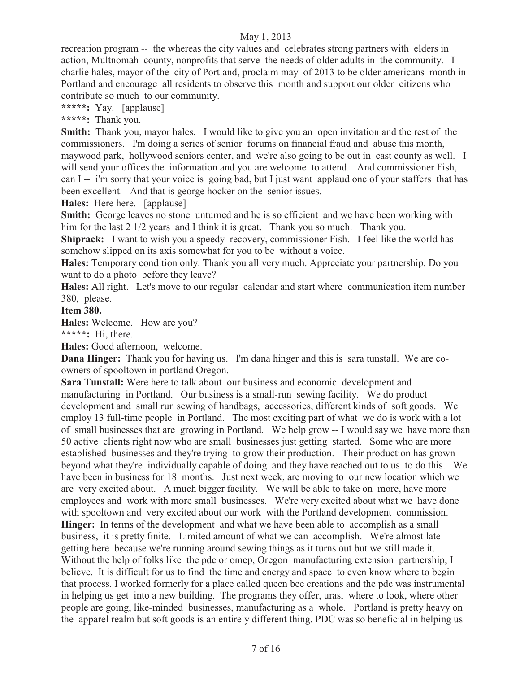recreation program -- the whereas the city values and celebrates strong partners with elders in action, Multnomah county, nonprofits that serve the needs of older adults in the community. I charlie hales, mayor of the city of Portland, proclaim may of 2013 to be older americans month in Portland and encourage all residents to observe this month and support our older citizens who contribute so much to our community.

**\*\*\*\*\*:** Yay. [applause]

**\*\*\*\*\*:** Thank you.

**Smith:** Thank you, mayor hales. I would like to give you an open invitation and the rest of the commissioners. I'm doing a series of senior forums on financial fraud and abuse this month, maywood park, hollywood seniors center, and we're also going to be out in east county as well. I will send your offices the information and you are welcome to attend. And commissioner Fish, can I -- i'm sorry that your voice is going bad, but I just want applaud one of your staffers that has been excellent. And that is george hocker on the senior issues.

**Hales:** Here here. [applause]

**Smith:** George leaves no stone unturned and he is so efficient and we have been working with him for the last 2 1/2 years and I think it is great. Thank you so much. Thank you.

**Shiprack:** I want to wish you a speedy recovery, commissioner Fish. I feel like the world has somehow slipped on its axis somewhat for you to be without a voice.

**Hales:** Temporary condition only. Thank you all very much. Appreciate your partnership. Do you want to do a photo before they leave?

**Hales:** All right. Let's move to our regular calendar and start where communication item number 380, please.

**Item 380.** 

**Hales:** Welcome. How are you?

**\*\*\*\*\*:** Hi, there.

**Hales:** Good afternoon, welcome.

**Dana Hinger:** Thank you for having us. I'm dana hinger and this is sara tunstall. We are coowners of spooltown in portland Oregon.

**Sara Tunstall:** Were here to talk about our business and economic development and manufacturing in Portland. Our business is a small-run sewing facility. We do product development and small run sewing of handbags, accessories, different kinds of soft goods. We employ 13 full-time people in Portland. The most exciting part of what we do is work with a lot of small businesses that are growing in Portland. We help grow -- I would say we have more than 50 active clients right now who are small businesses just getting started. Some who are more established businesses and they're trying to grow their production. Their production has grown beyond what they're individually capable of doing and they have reached out to us to do this. We have been in business for 18 months. Just next week, are moving to our new location which we are very excited about. A much bigger facility. We will be able to take on more, have more employees and work with more small businesses. We're very excited about what we have done with spooltown and very excited about our work with the Portland development commission. **Hinger:** In terms of the development and what we have been able to accomplish as a small business, it is pretty finite. Limited amount of what we can accomplish. We're almost late getting here because we're running around sewing things as it turns out but we still made it. Without the help of folks like the pdc or omep, Oregon manufacturing extension partnership, I believe. It is difficult for us to find the time and energy and space to even know where to begin that process. I worked formerly for a place called queen bee creations and the pdc was instrumental in helping us get into a new building. The programs they offer, uras, where to look, where other people are going, like-minded businesses, manufacturing as a whole. Portland is pretty heavy on the apparel realm but soft goods is an entirely different thing. PDC was so beneficial in helping us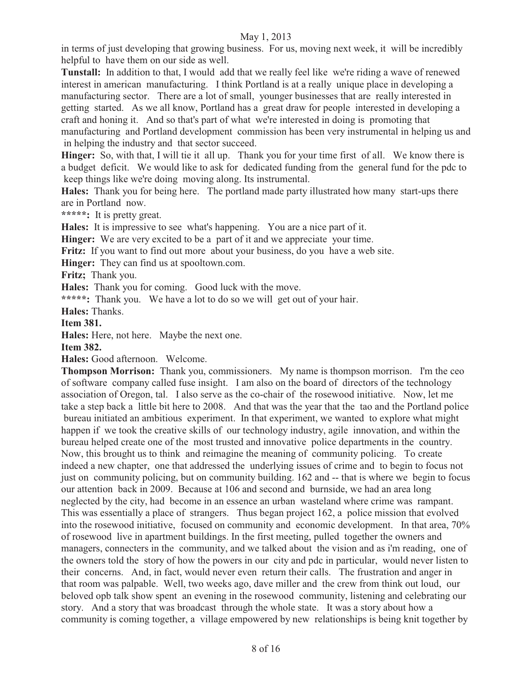in terms of just developing that growing business. For us, moving next week, it will be incredibly helpful to have them on our side as well.

**Tunstall:** In addition to that, I would add that we really feel like we're riding a wave of renewed interest in american manufacturing. I think Portland is at a really unique place in developing a manufacturing sector. There are a lot of small, younger businesses that are really interested in getting started. As we all know, Portland has a great draw for people interested in developing a craft and honing it. And so that's part of what we're interested in doing is promoting that manufacturing and Portland development commission has been very instrumental in helping us and in helping the industry and that sector succeed.

**Hinger:** So, with that, I will tie it all up. Thank you for your time first of all. We know there is a budget deficit. We would like to ask for dedicated funding from the general fund for the pdc to keep things like we're doing moving along. Its instrumental.

**Hales:** Thank you for being here. The portland made party illustrated how many start-ups there are in Portland now.

**\*\*\*\*\*:** It is pretty great.

**Hales:** It is impressive to see what's happening. You are a nice part of it.

**Hinger:** We are very excited to be a part of it and we appreciate your time.

**Fritz:** If you want to find out more about your business, do you have a web site.

**Hinger:** They can find us at spooltown.com.

**Fritz;** Thank you.

Hales: Thank you for coming. Good luck with the move.

**\*\*\*\*\*:** Thank you. We have a lot to do so we will get out of your hair.

**Hales:** Thanks.

**Item 381.** 

**Hales:** Here, not here. Maybe the next one.

**Item 382.** 

**Hales:** Good afternoon. Welcome.

**Thompson Morrison:** Thank you, commissioners. My name is thompson morrison. I'm the ceo of software company called fuse insight. I am also on the board of directors of the technology association of Oregon, tal. I also serve as the co-chair of the rosewood initiative. Now, let me take a step back a little bit here to 2008. And that was the year that the tao and the Portland police bureau initiated an ambitious experiment. In that experiment, we wanted to explore what might happen if we took the creative skills of our technology industry, agile innovation, and within the bureau helped create one of the most trusted and innovative police departments in the country. Now, this brought us to think and reimagine the meaning of community policing. To create indeed a new chapter, one that addressed the underlying issues of crime and to begin to focus not just on community policing, but on community building. 162 and -- that is where we begin to focus our attention back in 2009. Because at 106 and second and burnside, we had an area long neglected by the city, had become in an essence an urban wasteland where crime was rampant. This was essentially a place of strangers. Thus began project 162, a police mission that evolved into the rosewood initiative, focused on community and economic development. In that area, 70% of rosewood live in apartment buildings. In the first meeting, pulled together the owners and managers, connecters in the community, and we talked about the vision and as i'm reading, one of the owners told the story of how the powers in our city and pdc in particular, would never listen to their concerns. And, in fact, would never even return their calls. The frustration and anger in that room was palpable. Well, two weeks ago, dave miller and the crew from think out loud, our beloved opb talk show spent an evening in the rosewood community, listening and celebrating our story. And a story that was broadcast through the whole state. It was a story about how a community is coming together, a village empowered by new relationships is being knit together by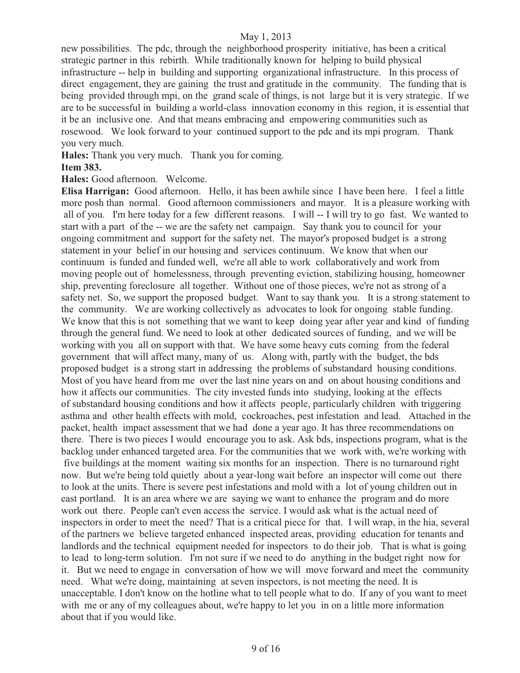new possibilities. The pdc, through the neighborhood prosperity initiative, has been a critical strategic partner in this rebirth. While traditionally known for helping to build physical infrastructure -- help in building and supporting organizational infrastructure. In this process of direct engagement, they are gaining the trust and gratitude in the community. The funding that is being provided through mpi, on the grand scale of things, is not large but it is very strategic. If we are to be successful in building a world-class innovation economy in this region, it is essential that it be an inclusive one. And that means embracing and empowering communities such as rosewood. We look forward to your continued support to the pdc and its mpi program. Thank you very much.

**Hales:** Thank you very much. Thank you for coming.

#### **Item 383.**

**Hales:** Good afternoon. Welcome.

**Elisa Harrigan:** Good afternoon. Hello, it has been awhile since I have been here. I feel a little more posh than normal. Good afternoon commissioners and mayor. It is a pleasure working with all of you. I'm here today for a few different reasons. I will -- I will try to go fast. We wanted to start with a part of the -- we are the safety net campaign. Say thank you to council for your ongoing commitment and support for the safety net. The mayor's proposed budget is a strong statement in your belief in our housing and services continuum. We know that when our continuum is funded and funded well, we're all able to work collaboratively and work from moving people out of homelessness, through preventing eviction, stabilizing housing, homeowner ship, preventing foreclosure all together. Without one of those pieces, we're not as strong of a safety net. So, we support the proposed budget. Want to say thank you. It is a strong statement to the community. We are working collectively as advocates to look for ongoing stable funding. We know that this is not something that we want to keep doing year after year and kind of funding through the general fund. We need to look at other dedicated sources of funding, and we will be working with you all on support with that. We have some heavy cuts coming from the federal government that will affect many, many of us. Along with, partly with the budget, the bds proposed budget is a strong start in addressing the problems of substandard housing conditions. Most of you have heard from me over the last nine years on and on about housing conditions and how it affects our communities. The city invested funds into studying, looking at the effects of substandard housing conditions and how it affects people, particularly children with triggering asthma and other health effects with mold, cockroaches, pest infestation and lead. Attached in the packet, health impact assessment that we had done a year ago. It has three recommendations on there. There is two pieces I would encourage you to ask. Ask bds, inspections program, what is the backlog under enhanced targeted area. For the communities that we work with, we're working with five buildings at the moment waiting six months for an inspection. There is no turnaround right now. But we're being told quietly about a year-long wait before an inspector will come out there to look at the units. There is severe pest infestations and mold with a lot of young children out in east portland. It is an area where we are saying we want to enhance the program and do more work out there. People can't even access the service. I would ask what is the actual need of inspectors in order to meet the need? That is a critical piece for that. I will wrap, in the hia, several of the partners we believe targeted enhanced inspected areas, providing education for tenants and landlords and the technical equipment needed for inspectors to do their job. That is what is going to lead to long-term solution. I'm not sure if we need to do anything in the budget right now for it. But we need to engage in conversation of how we will move forward and meet the community need. What we're doing, maintaining at seven inspectors, is not meeting the need. It is unacceptable. I don't know on the hotline what to tell people what to do. If any of you want to meet with me or any of my colleagues about, we're happy to let you in on a little more information about that if you would like.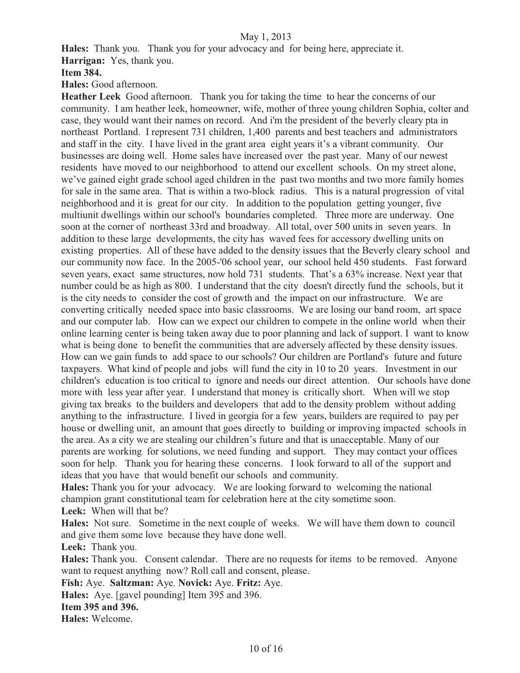**Hales:** Thank you. Thank you for your advocacy and for being here, appreciate it.

**Harrigan:** Yes, thank you.

**Item 384.** 

**Hales:** Good afternoon.

**Heather Leek** Good afternoon. Thank you for taking the time to hear the concerns of our community. I am heather leek, homeowner, wife, mother of three young children Sophia, colter and case, they would want their names on record. And i'm the president of the beverly cleary pta in northeast Portland. I represent 731 children, 1,400 parents and best teachers and administrators and staff in the city. I have lived in the grant area eight years it's a vibrant community. Our businesses are doing well. Home sales have increased over the past year. Many of our newest residents have moved to our neighborhood to attend our excellent schools. On my street alone, we've gained eight grade school aged children in the past two months and two more family homes for sale in the same area. That is within a two-block radius. This is a natural progression of vital neighborhood and it is great for our city. In addition to the population getting younger, five multiunit dwellings within our school's boundaries completed. Three more are underway. One soon at the corner of northeast 33rd and broadway. All total, over 500 units in seven years. In addition to these large developments, the city has waved fees for accessory dwelling units on existing properties. All of these have added to the density issues that the Beverly cleary school and our community now face. In the 2005-'06 school year, our school held 450 students. Fast forward seven years, exact same structures, now hold 731 students. That's a 63% increase. Next year that number could be as high as 800. I understand that the city doesn't directly fund the schools, but it is the city needs to consider the cost of growth and the impact on our infrastructure. We are converting critically needed space into basic classrooms. We are losing our band room, art space and our computer lab. How can we expect our children to compete in the online world when their online learning center is being taken away due to poor planning and lack of support. I want to know what is being done to benefit the communities that are adversely affected by these density issues. How can we gain funds to add space to our schools? Our children are Portland's future and future taxpayers. What kind of people and jobs will fund the city in 10 to 20 years. Investment in our children's education is too critical to ignore and needs our direct attention. Our schools have done more with less year after year. I understand that money is critically short. When will we stop giving tax breaks to the builders and developers that add to the density problem without adding anything to the infrastructure. I lived in georgia for a few years, builders are required to pay per house or dwelling unit, an amount that goes directly to building or improving impacted schools in the area. As a city we are stealing our children's future and that is unacceptable. Many of our parents are working for solutions, we need funding and support. They may contact your offices soon for help. Thank you for hearing these concerns. I look forward to all of the support and ideas that you have that would benefit our schools and community.

**Hales:** Thank you for your advocacy. We are looking forward to welcoming the national champion grant constitutional team for celebration here at the city sometime soon.

**Leek:** When will that be?

**Hales:** Not sure. Sometime in the next couple of weeks. We will have them down to council and give them some love because they have done well.

**Leek:** Thank you.

**Hales:** Thank you. Consent calendar. There are no requests for items to be removed. Anyone want to request anything now? Roll call and consent, please.

**Fish:** Aye. **Saltzman:** Aye. **Novick:** Aye. **Fritz:** Aye.

**Hales:** Aye. [gavel pounding] Item 395 and 396.

#### **Item 395 and 396.**

**Hales:** Welcome.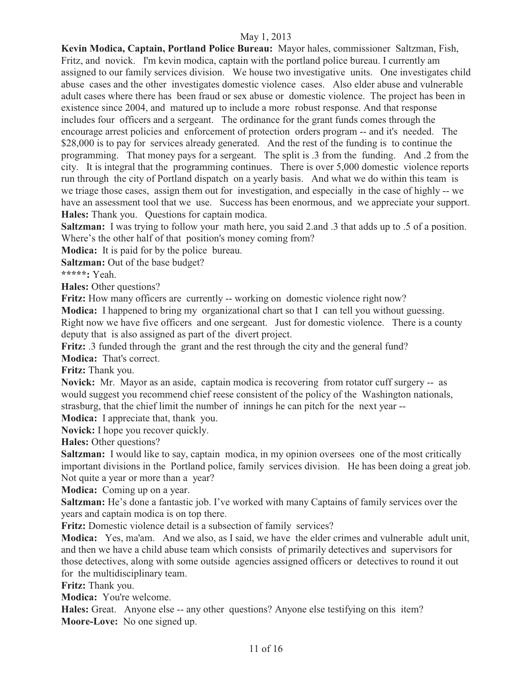**Kevin Modica, Captain, Portland Police Bureau:** Mayor hales, commissioner Saltzman, Fish, Fritz, and novick. I'm kevin modica, captain with the portland police bureau. I currently am assigned to our family services division. We house two investigative units. One investigates child abuse cases and the other investigates domestic violence cases. Also elder abuse and vulnerable adult cases where there has been fraud or sex abuse or domestic violence. The project has been in existence since 2004, and matured up to include a more robust response. And that response includes four officers and a sergeant. The ordinance for the grant funds comes through the encourage arrest policies and enforcement of protection orders program -- and it's needed. The \$28,000 is to pay for services already generated. And the rest of the funding is to continue the programming. That money pays for a sergeant. The split is .3 from the funding. And .2 from the city. It is integral that the programming continues. There is over 5,000 domestic violence reports run through the city of Portland dispatch on a yearly basis. And what we do within this team is we triage those cases, assign them out for investigation, and especially in the case of highly -- we have an assessment tool that we use. Success has been enormous, and we appreciate your support. **Hales:** Thank you. Questions for captain modica.

**Saltzman:** I was trying to follow your math here, you said 2.and .3 that adds up to .5 of a position. Where's the other half of that position's money coming from?

**Modica:** It is paid for by the police bureau.

**Saltzman:** Out of the base budget?

**\*\*\*\*\*:** Yeah.

**Hales:** Other questions?

**Fritz:** How many officers are currently -- working on domestic violence right now?

**Modica:** I happened to bring my organizational chart so that I can tell you without guessing.

Right now we have five officers and one sergeant. Just for domestic violence. There is a county deputy that is also assigned as part of the divert project.

**Fritz:** .3 funded through the grant and the rest through the city and the general fund?

**Modica:** That's correct.

**Fritz:** Thank you.

**Novick:** Mr. Mayor as an aside, captain modica is recovering from rotator cuff surgery -- as would suggest you recommend chief reese consistent of the policy of the Washington nationals, strasburg, that the chief limit the number of innings he can pitch for the next year --

**Modica:** I appreciate that, thank you.

**Novick:** I hope you recover quickly.

**Hales:** Other questions?

**Saltzman:** I would like to say, captain modica, in my opinion oversees one of the most critically important divisions in the Portland police, family services division. He has been doing a great job. Not quite a year or more than a year?

**Modica:** Coming up on a year.

**Saltzman:** He's done a fantastic job. I've worked with many Captains of family services over the years and captain modica is on top there.

**Fritz:** Domestic violence detail is a subsection of family services?

**Modica:** Yes, ma'am. And we also, as I said, we have the elder crimes and vulnerable adult unit, and then we have a child abuse team which consists of primarily detectives and supervisors for those detectives, along with some outside agencies assigned officers or detectives to round it out for the multidisciplinary team.

**Fritz:** Thank you.

**Modica:** You're welcome.

**Hales:** Great. Anyone else -- any other questions? Anyone else testifying on this item? **Moore-Love:** No one signed up.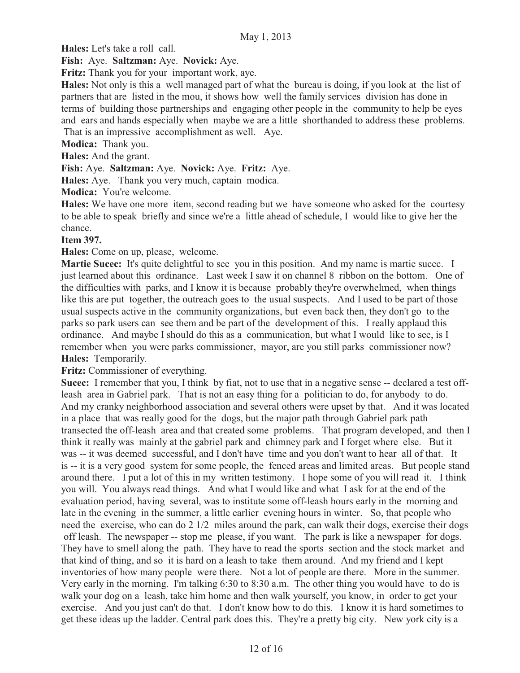**Hales:** Let's take a roll call.

**Fish:** Aye. **Saltzman:** Aye. **Novick:** Aye.

**Fritz:** Thank you for your important work, aye.

**Hales:** Not only is this a well managed part of what the bureau is doing, if you look at the list of partners that are listed in the mou, it shows how well the family services division has done in terms of building those partnerships and engaging other people in the community to help be eyes and ears and hands especially when maybe we are a little shorthanded to address these problems. That is an impressive accomplishment as well. Aye.

**Modica:** Thank you.

**Hales:** And the grant.

**Fish:** Aye. **Saltzman:** Aye. **Novick:** Aye. **Fritz:** Aye.

**Hales:** Aye. Thank you very much, captain modica.

**Modica:** You're welcome.

**Hales:** We have one more item, second reading but we have someone who asked for the courtesy to be able to speak briefly and since we're a little ahead of schedule, I would like to give her the chance.

#### **Item 397.**

**Hales:** Come on up, please, welcome.

**Martie Sucec:** It's quite delightful to see you in this position. And my name is martie sucec. I just learned about this ordinance. Last week I saw it on channel 8 ribbon on the bottom. One of the difficulties with parks, and I know it is because probably they're overwhelmed, when things like this are put together, the outreach goes to the usual suspects. And I used to be part of those usual suspects active in the community organizations, but even back then, they don't go to the parks so park users can see them and be part of the development of this. I really applaud this ordinance. And maybe I should do this as a communication, but what I would like to see, is I remember when you were parks commissioner, mayor, are you still parks commissioner now? **Hales:** Temporarily.

#### Fritz: Commissioner of everything.

**Sucec:** I remember that you, I think by fiat, not to use that in a negative sense -- declared a test offleash area in Gabriel park. That is not an easy thing for a politician to do, for anybody to do. And my cranky neighborhood association and several others were upset by that. And it was located in a place that was really good for the dogs, but the major path through Gabriel park path transected the off-leash area and that created some problems. That program developed, and then I think it really was mainly at the gabriel park and chimney park and I forget where else. But it was -- it was deemed successful, and I don't have time and you don't want to hear all of that. It is -- it is a very good system for some people, the fenced areas and limited areas. But people stand around there. I put a lot of this in my written testimony. I hope some of you will read it. I think you will. You always read things. And what I would like and what I ask for at the end of the evaluation period, having several, was to institute some off-leash hours early in the morning and late in the evening in the summer, a little earlier evening hours in winter. So, that people who need the exercise, who can do 2 1/2 miles around the park, can walk their dogs, exercise their dogs off leash. The newspaper -- stop me please, if you want. The park is like a newspaper for dogs. They have to smell along the path. They have to read the sports section and the stock market and that kind of thing, and so it is hard on a leash to take them around. And my friend and I kept inventories of how many people were there. Not a lot of people are there. More in the summer. Very early in the morning. I'm talking 6:30 to 8:30 a.m. The other thing you would have to do is walk your dog on a leash, take him home and then walk yourself, you know, in order to get your exercise. And you just can't do that. I don't know how to do this. I know it is hard sometimes to get these ideas up the ladder. Central park does this. They're a pretty big city. New york city is a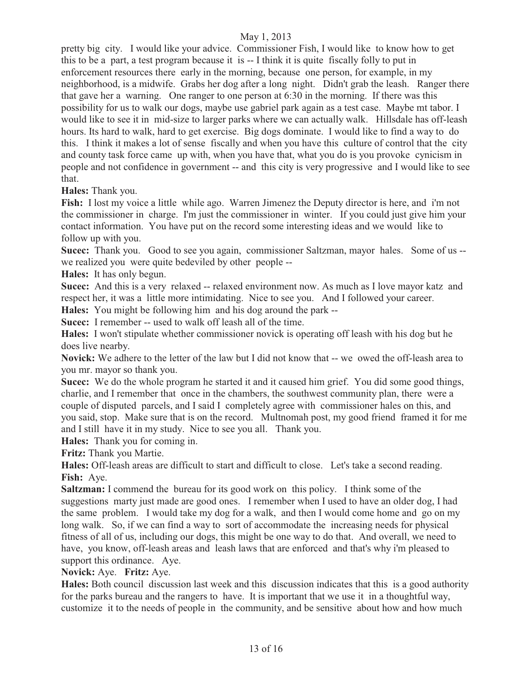pretty big city. I would like your advice. Commissioner Fish, I would like to know how to get this to be a part, a test program because it is -- I think it is quite fiscally folly to put in enforcement resources there early in the morning, because one person, for example, in my neighborhood, is a midwife. Grabs her dog after a long night. Didn't grab the leash. Ranger there that gave her a warning. One ranger to one person at 6:30 in the morning. If there was this possibility for us to walk our dogs, maybe use gabriel park again as a test case. Maybe mt tabor. I would like to see it in mid-size to larger parks where we can actually walk. Hillsdale has off-leash hours. Its hard to walk, hard to get exercise. Big dogs dominate. I would like to find a way to do this. I think it makes a lot of sense fiscally and when you have this culture of control that the city and county task force came up with, when you have that, what you do is you provoke cynicism in people and not confidence in government -- and this city is very progressive and I would like to see that.

**Hales:** Thank you.

**Fish:** I lost my voice a little while ago. Warren Jimenez the Deputy director is here, and i'm not the commissioner in charge. I'm just the commissioner in winter. If you could just give him your contact information. You have put on the record some interesting ideas and we would like to follow up with you.

**Sucec:** Thank you. Good to see you again, commissioner Saltzman, mayor hales. Some of us - we realized you were quite bedeviled by other people --

**Hales:** It has only begun.

**Sucec:** And this is a very relaxed -- relaxed environment now. As much as I love mayor katz and respect her, it was a little more intimidating. Nice to see you. And I followed your career.

**Hales:** You might be following him and his dog around the park --

**Sucec:** I remember -- used to walk off leash all of the time.

**Hales:** I won't stipulate whether commissioner novick is operating off leash with his dog but he does live nearby.

**Novick:** We adhere to the letter of the law but I did not know that -- we owed the off-leash area to you mr. mayor so thank you.

**Sucec:** We do the whole program he started it and it caused him grief. You did some good things, charlie, and I remember that once in the chambers, the southwest community plan, there were a couple of disputed parcels, and I said I completely agree with commissioner hales on this, and you said, stop. Make sure that is on the record. Multnomah post, my good friend framed it for me and I still have it in my study. Nice to see you all. Thank you.

**Hales:** Thank you for coming in.

**Fritz:** Thank you Martie.

**Hales:** Off-leash areas are difficult to start and difficult to close. Let's take a second reading. **Fish:** Aye.

**Saltzman:** I commend the bureau for its good work on this policy. I think some of the suggestions marty just made are good ones. I remember when I used to have an older dog, I had the same problem. I would take my dog for a walk, and then I would come home and go on my long walk. So, if we can find a way to sort of accommodate the increasing needs for physical fitness of all of us, including our dogs, this might be one way to do that. And overall, we need to have, you know, off-leash areas and leash laws that are enforced and that's why i'm pleased to support this ordinance. Aye.

#### **Novick:** Aye. **Fritz:** Aye.

**Hales:** Both council discussion last week and this discussion indicates that this is a good authority for the parks bureau and the rangers to have. It is important that we use it in a thoughtful way, customize it to the needs of people in the community, and be sensitive about how and how much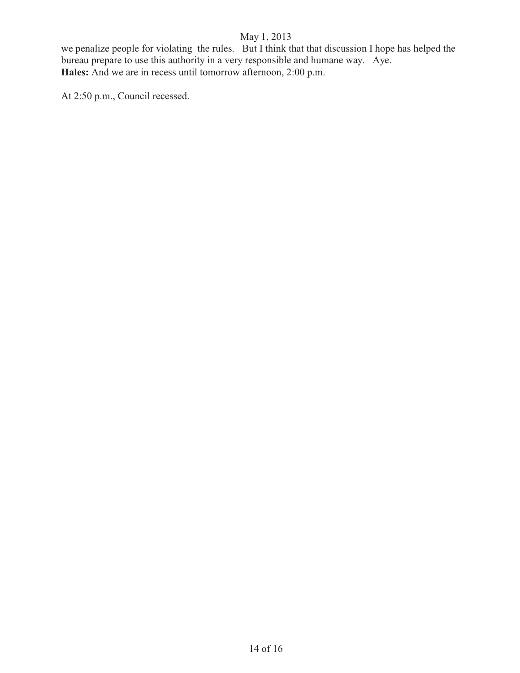we penalize people for violating the rules. But I think that that discussion I hope has helped the bureau prepare to use this authority in a very responsible and humane way. Aye. **Hales:** And we are in recess until tomorrow afternoon, 2:00 p.m.

At 2:50 p.m., Council recessed.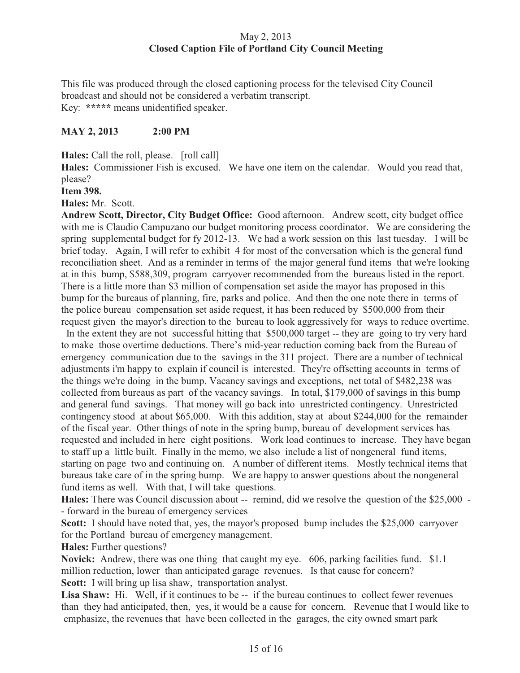#### May 2, 2013 **Closed Caption File of Portland City Council Meeting**

This file was produced through the closed captioning process for the televised City Council broadcast and should not be considered a verbatim transcript. Key: **\*\*\*\*\*** means unidentified speaker.

#### **MAY 2, 2013 2:00 PM**

**Hales:** Call the roll, please. [roll call]

**Hales:** Commissioner Fish is excused. We have one item on the calendar. Would you read that, please?

**Item 398.** 

**Hales:** Mr. Scott.

**Andrew Scott, Director, City Budget Office:** Good afternoon. Andrew scott, city budget office with me is Claudio Campuzano our budget monitoring process coordinator. We are considering the spring supplemental budget for fy 2012-13. We had a work session on this last tuesday. I will be brief today. Again, I will refer to exhibit 4 for most of the conversation which is the general fund reconciliation sheet. And as a reminder in terms of the major general fund items that we're looking at in this bump, \$588,309, program carryover recommended from the bureaus listed in the report. There is a little more than \$3 million of compensation set aside the mayor has proposed in this bump for the bureaus of planning, fire, parks and police. And then the one note there in terms of the police bureau compensation set aside request, it has been reduced by \$500,000 from their request given the mayor's direction to the bureau to look aggressively for ways to reduce overtime.

In the extent they are not successful hitting that \$500,000 target -- they are going to try very hard to make those overtime deductions. There's mid-year reduction coming back from the Bureau of emergency communication due to the savings in the 311 project. There are a number of technical adjustments i'm happy to explain if council is interested. They're offsetting accounts in terms of the things we're doing in the bump. Vacancy savings and exceptions, net total of \$482,238 was collected from bureaus as part of the vacancy savings. In total, \$179,000 of savings in this bump and general fund savings. That money will go back into unrestricted contingency. Unrestricted contingency stood at about \$65,000. With this addition, stay at about \$244,000 for the remainder of the fiscal year. Other things of note in the spring bump, bureau of development services has requested and included in here eight positions. Work load continues to increase. They have began to staff up a little built. Finally in the memo, we also include a list of nongeneral fund items, starting on page two and continuing on. A number of different items. Mostly technical items that bureaus take care of in the spring bump. We are happy to answer questions about the nongeneral fund items as well. With that, I will take questions.

Hales: There was Council discussion about -- remind, did we resolve the question of the \$25,000 -- forward in the bureau of emergency services

**Scott:** I should have noted that, yes, the mayor's proposed bump includes the \$25,000 carryover for the Portland bureau of emergency management.

**Hales:** Further questions?

**Novick:** Andrew, there was one thing that caught my eye. 606, parking facilities fund. \$1.1 million reduction, lower than anticipated garage revenues. Is that cause for concern? **Scott:** I will bring up lisa shaw, transportation analyst.

Lisa Shaw: Hi. Well, if it continues to be -- if the bureau continues to collect fewer revenues than they had anticipated, then, yes, it would be a cause for concern. Revenue that I would like to emphasize, the revenues that have been collected in the garages, the city owned smart park